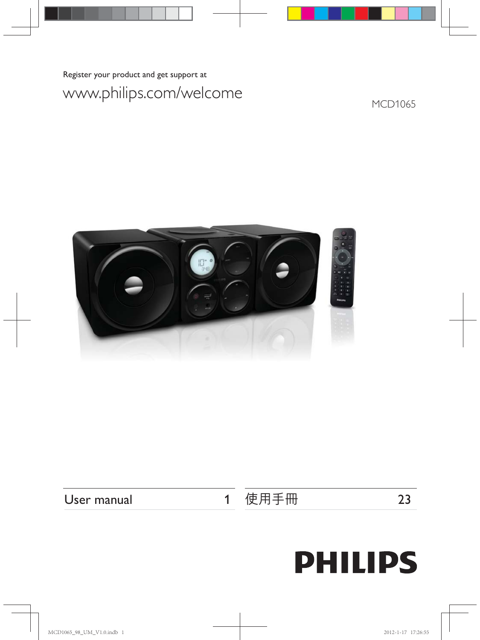Register your product and get support at

## www.philips.com/welcome

MCD1065



User manual 1

使用手冊 23

# **PHILIPS**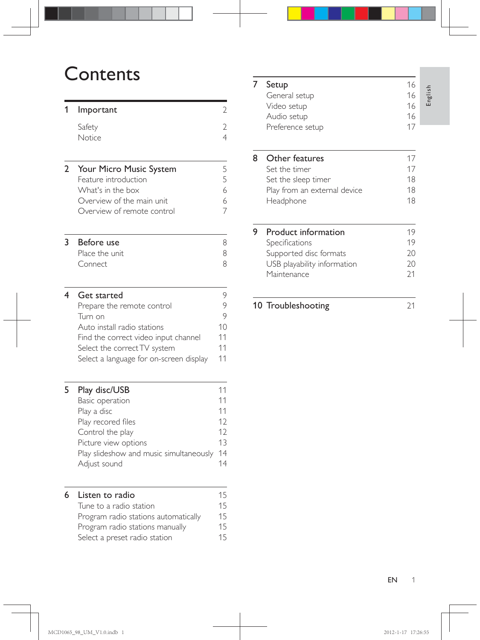## **Contents**

#### 1 Important 2

| Safety        | 2 |
|---------------|---|
| <b>Notice</b> | 4 |
|               |   |

| 2 Your Micro Music System  | 5 |
|----------------------------|---|
| Feature introduction       | 5 |
| What's in the box          | 6 |
| Overview of the main unit. | 6 |
| Overview of remote control |   |
|                            |   |

#### 3 Before use 8 Place the unit 8 Connect 8

| 4 | Get started                             |    |
|---|-----------------------------------------|----|
|   | Prepare the remote control              | 9  |
|   | Turn on                                 | 9  |
|   | Auto install radio stations             | 10 |
|   | Find the correct video input channel    | 11 |
|   | Select the correct TV system            | 11 |
|   | Select a language for on-screen display | 11 |
|   |                                         |    |

#### **5 Play disc/USB** 11

| Basic operation                         |    |
|-----------------------------------------|----|
| Play a disc                             | 11 |
| Play recored files                      | 12 |
| Control the play                        | 12 |
| Picture view options                    | 13 |
| Play slideshow and music simultaneously | 14 |
| Adjust sound                            |    |
|                                         |    |

#### 6 Listen to radio 15

| Tune to a radio station              | 15 |
|--------------------------------------|----|
| Program radio stations automatically | 15 |
| Program radio stations manually      | 15 |
| Select a preset radio station        | 15 |
|                                      |    |

#### **7 Setup** 16<br>General setup 16 General setup Video setup 16 Audio setup 16 Preference setup 17 8 Other features 17<br>Set the timer 17 Set the timer Set the sleep timer 18 Play from an external device 18 Headphone 18 **9** Product information 19 Specifications  $\overline{19}$ Supported disc formats 20 USB playability information 20

Maintenance 21

#### 10 Troubleshooting 21

English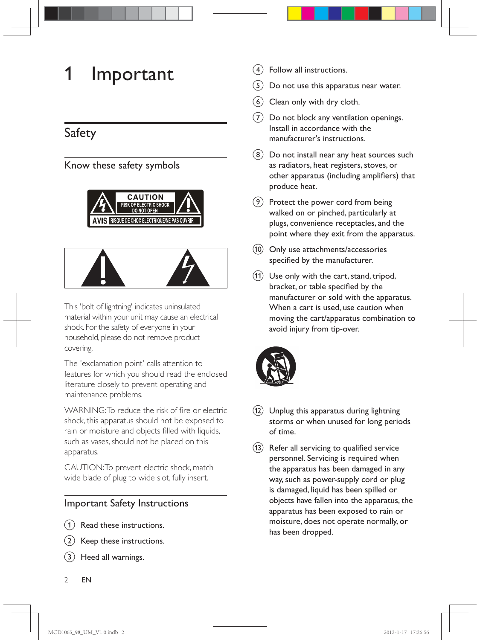## 1 Important

## Safety

#### Know these safety symbols





This 'bolt of lightning' indicates uninsulated material within your unit may cause an electrical shock. For the safety of everyone in your household, please do not remove product covering.

The 'exclamation point' calls attention to features for which you should read the enclosed literature closely to prevent operating and maintenance problems.

WARNING: To reduce the risk of fire or electric shock, this apparatus should not be exposed to rain or moisture and objects filled with liquids, such as vases, should not be placed on this apparatus.

CAUTION: To prevent electric shock, match wide blade of plug to wide slot, fully insert.

#### Important Safety Instructions

- Read these instructions.
- Keep these instructions.
- Heed all warnings.
- d Follow all instructions.
- $(5)$  Do not use this apparatus near water.
- $(6)$  Clean only with dry cloth.
- $(7)$  Do not block any ventilation openings. Install in accordance with the manufacturer's instructions.
- $(8)$  Do not install near any heat sources such as radiators, heat registers, stoves, or other apparatus (including amplifiers) that produce heat.
- $(9)$  Protect the power cord from being walked on or pinched, particularly at plugs, convenience receptacles, and the point where they exit from the apparatus.
- $(10)$  Only use attachments/accessories specified by the manufacturer.
- $(h)$  Use only with the cart, stand, tripod, bracket, or table specified by the manufacturer or sold with the apparatus. When a cart is used, use caution when moving the cart/apparatus combination to avoid injury from tip-over.



- (12) Unplug this apparatus during lightning storms or when unused for long periods of time.
- (13) Refer all servicing to qualified service personnel. Servicing is required when the apparatus has been damaged in any way, such as power-supply cord or plug is damaged, liquid has been spilled or objects have fallen into the apparatus, the apparatus has been exposed to rain or moisture, does not operate normally, or has been dropped.

2 EN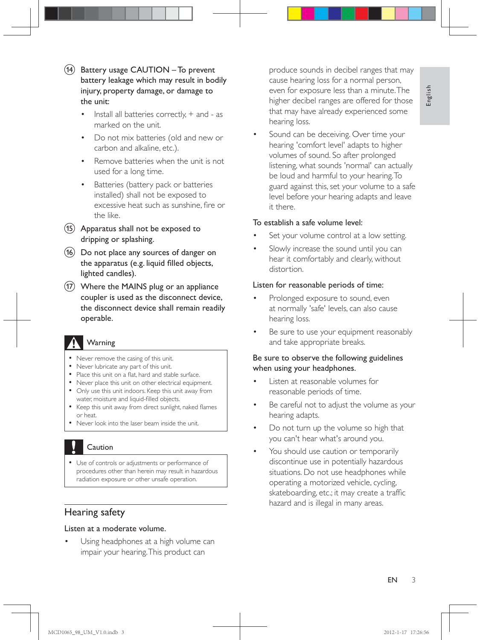- $(n)$  Battery usage CAUTION To prevent battery leakage which may result in bodily injury, property damage, or damage to the unit:
	- Install all batteries correctly,  $+$  and as marked on the unit.
	- \* Do not mix batteries (old and new or carbon and alkaline, etc.).
	- \* Remove batteries when the unit is not used for a long time.
	- \* Batteries (battery pack or batteries installed) shall not be exposed to excessive heat such as sunshine, fire or the like.
- $(15)$  Apparatus shall not be exposed to dripping or splashing.
- $(16)$  Do not place any sources of danger on the apparatus (e.g. liquid filled objects, lighted candles).
- (17) Where the MAINS plug or an appliance coupler is used as the disconnect device, the disconnect device shall remain readily operable.

### Warning

- \* Never remove the casing of this unit.
- \* Never lubricate any part of this unit.
- Place this unit on a flat, hard and stable surface.
- Never place this unit on other electrical equipment.
- \* Only use this unit indoors. Keep this unit away from water, moisture and liquid-filled objects.
- Keep this unit away from direct sunlight, naked flames or heat.
- \* Never look into the laser beam inside the unit.

### Caution

\* Use of controls or adjustments or performance of procedures other than herein may result in hazardous radiation exposure or other unsafe operation.

#### Hearing safety

#### Listen at a moderate volume.

Using headphones at a high volume can impair your hearing. This product can

produce sounds in decibel ranges that may cause hearing loss for a normal person, even for exposure less than a minute. The higher decibel ranges are offered for those that may have already experienced some hearing loss.

Sound can be deceiving. Over time your hearing 'comfort level' adapts to higher volumes of sound. So after prolonged listening, what sounds 'normal' can actually be loud and harmful to your hearing. To guard against this, set your volume to a safe level before your hearing adapts and leave it there.

#### To establish a safe volume level:

- Set your volume control at a low setting.
- Slowly increase the sound until you can hear it comfortably and clearly, without distortion.

#### Listen for reasonable periods of time:

- Prolonged exposure to sound, even at normally 'safe' levels, can also cause hearing loss.
- Be sure to use your equipment reasonably and take appropriate breaks.

#### Be sure to observe the following guidelines when using your headphones.

- Listen at reasonable volumes for reasonable periods of time.
- Be careful not to adjust the volume as your hearing adapts.
- Do not turn up the volume so high that you can't hear what's around you.
- You should use caution or temporarily discontinue use in potentially hazardous situations. Do not use headphones while operating a motorized vehicle, cycling, skateboarding, etc.; it may create a traffic hazard and is illegal in many areas.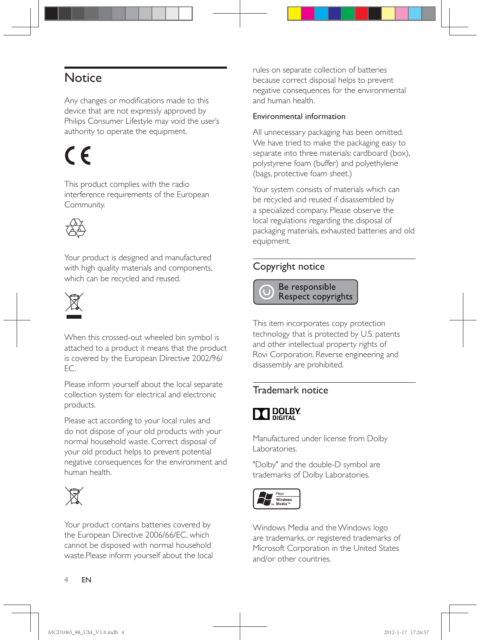## **Notice**

Any changes or modifications made to this device that are not expressly approved by Philips Consumer Lifestyle may void the user's authority to operate the equipment.

# $\epsilon$

This product complies with the radio interference requirements of the European Community.



Your product is designed and manufactured with high quality materials and components, which can be recycled and reused.



When this crossed-out wheeled bin symbol is attached to a product it means that the product is covered by the European Directive 2002/96/  $EC.$ 

Please inform yourself about the local separate collection system for electrical and electronic products.

Please act according to your local rules and do not dispose of your old products with your normal household waste. Correct disposal of your old product helps to prevent potential negative consequences for the environment and human health.



Your product contains batteries covered by the European Directive 2006/66/EC, which cannot be disposed with normal household waste.Please inform yourself about the local rules on separate collection of batteries because correct disposal helps to prevent negative consequences for the environmental and human health.

#### Environmental information

All unnecessary packaging has been omitted. We have tried to make the packaging easy to separate into three materials: cardboard (box), polystyrene foam (buffer) and polyethylene (bags, protective foam sheet.)

Your system consists of materials which can be recycled and reused if disassembled by a specialized company. Please observe the local regulations regarding the disposal of packaging materials, exhausted batteries and old equipment.

#### Copyright notice

 Be responsible Respect copyrights

This item incorporates copy protection technology that is protected by U.S. patents and other intellectual property rights of Rovi Corporation. Reverse engineering and disassembly are prohibited.

#### Trademark notice

## **T** DOLBY

Manufactured under license from Dolby Laboratories.

"Dolby" and the double-D symbol are trademarks of Dolby Laboratories.



Windows Media and the Windows logo are trademarks, or registered trademarks of Microsoft Corporation in the United States and/or other countries.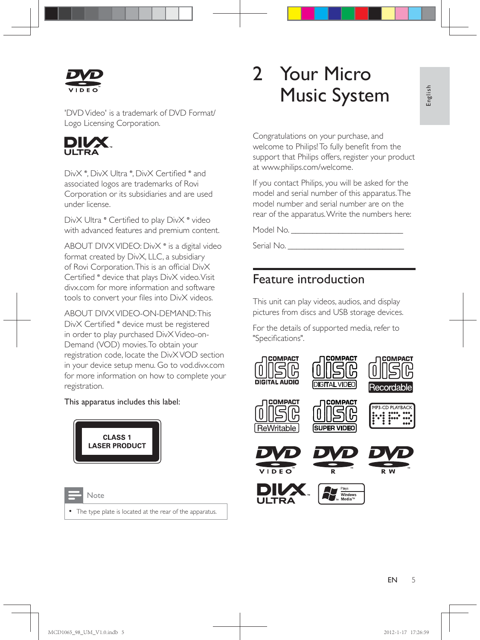

'DVD Video' is a trademark of DVD Format/ Logo Licensing Corporation.



DivX ®, DivX Ultra ®, DivX Certified ® and associated logos are trademarks of Rovi Corporation or its subsidiaries and are used under license.

Div $\times$  Ultra  $^\circ$  Certified to play Div $\times^\circ$  video with advanced features and premium content.

ABOUT DIVX VIDEO: DivX ® is a digital video format created by DivX, LLC, a subsidiary of Rovi Corporation. This is an official Div $\times$ Certified ® device that plays DivX video. Visit divx.com for more information and software tools to convert your files into DivX videos.

ABOUT DIVX VIDEO-ON-DEMAND: This DivX Certified ® device must be registered in order to play purchased DivX Video-on-Demand (VOD) movies. To obtain your registration code, locate the DivX VOD section in your device setup menu. Go to vod.divx.com for more information on how to complete your registration.

#### This apparatus includes this label:



| $\sim$<br>-<br>- 1 |
|--------------------|

The type plate is located at the rear of the apparatus.

## 2 Your Micro Music System

Congratulations on your purchase, and welcome to Philips! To fully benefit from the support that Philips offers, register your product at www.philips.com/welcome.

If you contact Philips, you will be asked for the model and serial number of this apparatus. The model number and serial number are on the rear of the apparatus. Write the numbers here:

Model No. \_\_\_\_\_\_\_\_\_\_\_\_\_\_\_\_\_\_\_\_\_\_\_\_\_\_

Serial No.

### Feature introduction

This unit can play videos, audios, and display pictures from discs and USB storage devices.

For the details of supported media, refer to "Specifications".

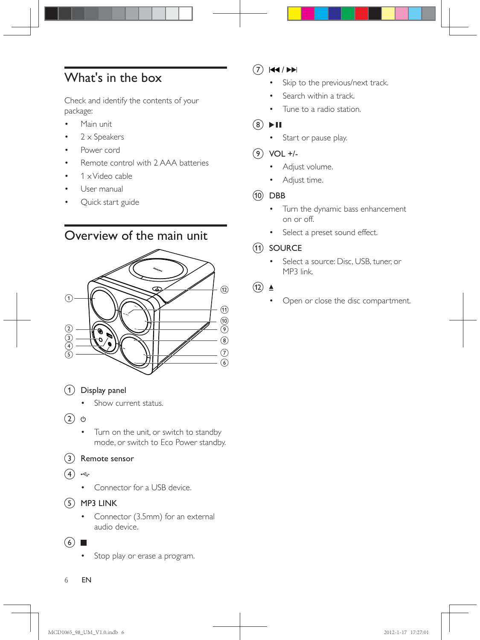## What's in the box

Check and identify the contents of your package:

- Main unit
- $2 \times$  Speakers
- \* Power cord
- Remote control with 2 AAA batteries
- $1 \times$  Video cable
- User manual
- Quick start guide

## Overview of the main unit



 $(1)$  Display panel

- \* Show current status.
- $(2)$   $\diamond$ 
	- \* Turn on the unit, or switch to standby mode, or switch to Eco Power standby.

#### (3) Remote sensor

- $(4) \div$ 
	- \* Connector for a USB device.
- $(5)$  MP3 LINK
	- \* Connector (3.5mm) for an external audio device.

#### $(6)$

\* Stop play or erase a program.

#### $(7)$   $\blacktriangleleft$  /  $\blacktriangleright$

- Skip to the previous/next track.
- Search within a track.
- Tune to a radio station.

#### $(8)$  II

- \* Start or pause play.
- $(9)$  VOL +/-
	- Adjust volume.
	- \* Adjust time.
- $(10)$  DBB
	- \* Turn the dynamic bass enhancement on or off.
	- \* Select a preset sound effect.

#### (11) SOURCE

- Select a source: Disc, USB, tuner, or MP3 link.
- $(12)$   $\triangle$ 
	- Open or close the disc compartment.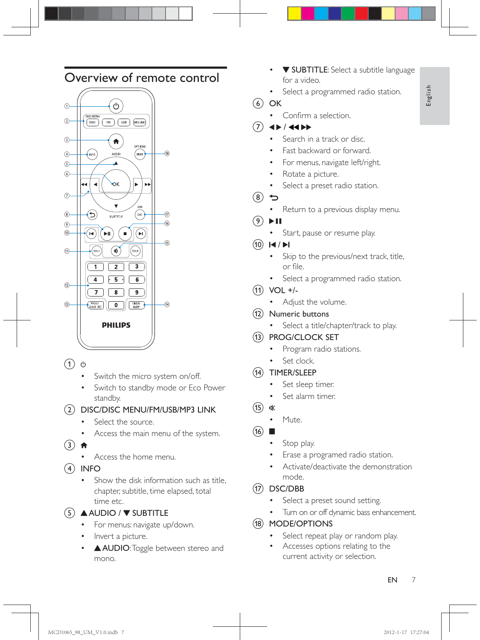## Overview of remote control



- $\circ$  0
	- Switch the micro system on/off.
	- Switch to standby mode or Eco Power standby.

b DISC/DISC MENU/FM/USB/MP3 LINK

- Select the source.
- Access the main menu of the system.
- $(3)$   $\bigoplus$ 
	- Access the home menu.
- $(4)$  INFO
	- Show the disk information such as title, chapter, subtitle, time elapsed, total time etc.

 $(5)$  AUDIO /  $\blacktriangledown$  SUBTITLE

- For menus: navigate up/down.
- Invert a picture.
- AUDIO: Toggle between stereo and mono.
- **V SUBTITLE:** Select a subtitle language for a video.
- Select a programmed radio station.
- $(6)$  OK
	- Confirm a selection.
- $4$  /  $4$   $\rightarrow$ 
	- Search in a track or disc.
	- Fast backward or forward.
	- For menus, navigate left/right.
	- Rotate a picture.
	- Select a preset radio station.
- $(8)$  D
	- Return to a previous display menu.
- $(9)$  II
	- Start, pause or resume play.
- $(10)$   $\blacktriangleright$   $\blacktriangleright$   $\blacktriangleright$   $\blacktriangleright$ 
	- Skip to the previous/next track, title, or file.
	- \* Select a programmed radio station.
- $(n)$  VOL +/-
	- Adjust the volume.
- (12) Numeric buttons
	- Select a title/chapter/track to play.
- (13) PROG/CLOCK SET
	- Program radio stations.
	- Set clock.
- (14) TIMER/SLEEP
	- Set sleep timer.
	- Set alarm timer.
- (15) ≰
	- \* Mute.
- $\overline{16}$   $\blacksquare$ 
	- Stop play.
	- Erase a programed radio station.
	- Activate/deactivate the demonstration mode.

#### $(17)$  DSC/DBB

- Select a preset sound setting.
- Turn on or off dynamic bass enhancement.
- (18) MODE/OPTIONS
	- Select repeat play or random play.
	- Accesses options relating to the current activity or selection.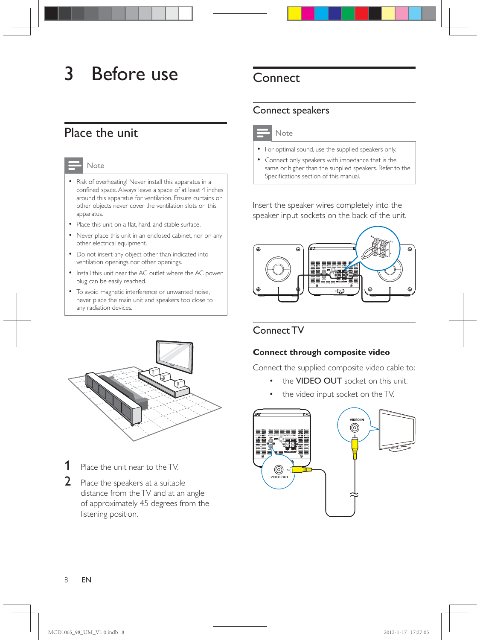## 3 Before use

## Place the unit

#### **Note**

- \* Risk of overheating! Never install this apparatus in a confined space. Always leave a space of at least 4 inches around this apparatus for ventilation. Ensure curtains or other objects never cover the ventilation slots on this apparatus.
- Place this unit on a flat, hard, and stable surface.
- \* Never place this unit in an enclosed cabinet, nor on any other electrical equipment.
- \* Do not insert any object other than indicated into ventilation openings nor other openings.
- \* Install this unit near the AC outlet where the AC power plug can be easily reached.
- \* To avoid magnetic interference or unwanted noise, never place the main unit and speakers too close to any radiation devices.



- **1** Place the unit near to the TV.
- 2 Place the speakers at a suitable distance from the TV and at an angle of approximately 45 degrees from the listening position.

## **Connect**

#### Connect speakers



- \* For optimal sound, use the supplied speakers only.
- \* Connect only speakers with impedance that is the same or higher than the supplied speakers. Refer to the Specifications section of this manual.

Insert the speaker wires completely into the speaker input sockets on the back of the unit.



#### Connect TV

#### **Connect through composite video**

Connect the supplied composite video cable to:

- the VIDEO OUT socket on this unit.
- the video input socket on the TV.

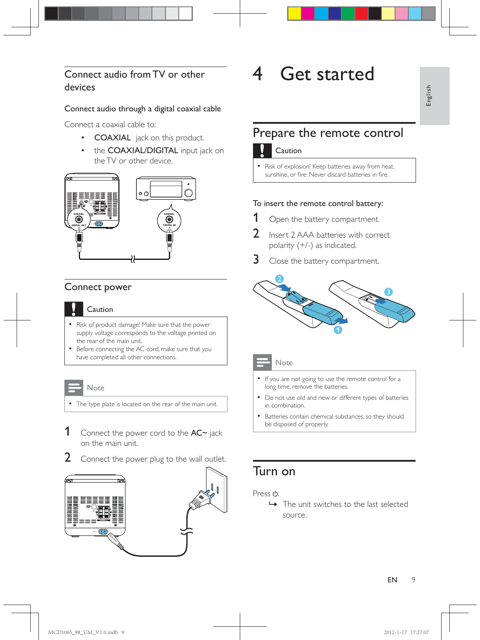#### Connect audio from TV or other devices

#### Connect audio through a digital coaxial cable

Connect a coaxial cable to:

- COAXIAL jack on this product.
- the COAXIAL/DIGITAL input jack on the TV or other device.



#### Connect power



#### Caution

- \* Risk of product damage! Make sure that the power supply voltage corresponds to the voltage printed on the rear of the main unit.
- \* Before connecting the AC cord, make sure that you have completed all other connections.

#### Note

- \* The type plate is located on the rear of the main unit.
- 1 Connect the power cord to the  $AC~$  jack on the main unit.
- $2$  Connect the power plug to the wall outlet.



## 4 Get started

## Prepare the remote control

#### Caution

Risk of explosion! Keep batteries away from heat, sunshine, or fire. Never discard batteries in fire

#### To insert the remote control battery:

- **1** Open the battery compartment.
- **2** Insert 2 AAA batteries with correct polarity (+/-) as indicated.
- **3** Close the battery compartment.





#### Note

- \* If you are not going to use the remote control for a long time, remove the batteries.
- \* Do not use old and new or different types of batteries in combination.
- \* Batteries contain chemical substances, so they should be disposed of properly.

## Turn on

Press  $\phi$ .

» The unit switches to the last selected source.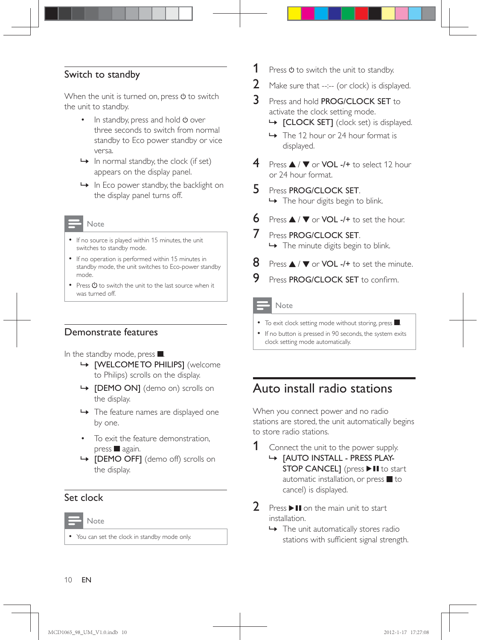#### Switch to standby

When the unit is turned on, press  $\Phi$  to switch the unit to standby.

- $\cdot$  In standby, press and hold  $\circ$  over three seconds to switch from normal standby to Eco power standby or vice versa.
- $\rightarrow$  In normal standby, the clock (if set) appears on the display panel.
- $\rightarrow$  In Eco power standby, the backlight on the display panel turns off.
- Note
- \* If no source is played within 15 minutes, the unit switches to standby mode.
- \* If no operation is performed within 15 minutes in standby mode, the unit switches to Eco-power standby mode.
- Press  $\Phi$  to switch the unit to the last source when it was turned off.

#### Demonstrate features

In the standby mode, press .

- » [WELCOME TO PHILIPS] (welcome to Philips) scrolls on the display.
- » [DEMO ON] (demo on) scrolls on the display.
- » The feature names are displayed one by one.
- To exit the feature demonstration,  $pres$  again.
- » [DEMO OFF] (demo off) scrolls on the display.

#### Set clock

Note

You can set the clock in standby mode only.

- **1** Press  $\Phi$  to switch the unit to standby.
- 2 Make sure that  $-:-$  (or clock) is displayed.
- 3 Press and hold PROG/CLOCK SET to activate the clock setting mode.
	- » [CLOCK SET] (clock set) is displayed.
	- ← The 12 hour or 24 hour format is displayed.
- **4** Press  $\triangle$  /  $\nabla$  or VOL -/+ to select 12 hour or 24 hour format.
- 5 Press PROG/CLOCK SET.

 $\rightarrow$  The hour digits begin to blink.

- 6 Press  $\triangle$  /  $\nabla$  or VOL -/+ to set the hour.
- 7 Press PROG/CLOCK SET.  $\rightarrow$  The minute digits begin to blink.
- **8** Press  $\triangle$  /  $\nabla$  or VOL -/+ to set the minute.
- 9 Press PROG/CLOCK SET to confirm.

#### **Note**

- $\bullet$  To exit clock setting mode without storing, press  $\blacksquare$ .
- \* If no button is pressed in 90 seconds, the system exits clock setting mode automatically.

### Auto install radio stations

When you connect power and no radio stations are stored, the unit automatically begins to store radio stations.

Connect the unit to the power supply.

- » [AUTO INSTALL PRESS PLAY-STOP CANCEL] (press II to start automatic installation, or press  $\blacksquare$  to cancel) is displayed.
- **2** Press  $\blacktriangleright$  II on the main unit to start installation.
	- $\rightarrow$  The unit automatically stores radio stations with sufficient signal strength.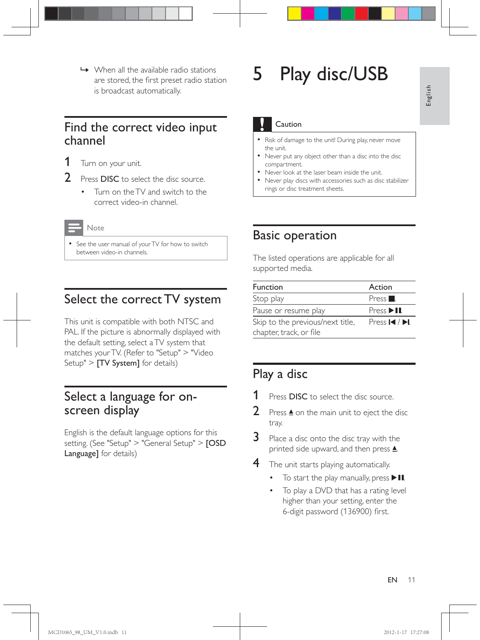$\rightarrow$  When all the available radio stations are stored, the first preset radio station is broadcast automatically.

### Find the correct video input channel



- **2** Press **DISC** to select the disc source.
	- Turn on the TV and switch to the correct video-in channel.
	- Note
- \* See the user manual of your TV for how to switch between video-in channels.

## Select the correct TV system

This unit is compatible with both NTSC and PAL. If the picture is abnormally displayed with the default setting, select a TV system that matches your TV. (Refer to "Setup" > "Video Setup" > **[TV System]** for details)

### Select a language for onscreen display

English is the default language options for this setting. (See "Setup" > "General Setup" > [OSD Language] for details)

## 5 Play disc/USB

#### Caution

- \* Risk of damage to the unit! During play, never move the unit.
- Never put any object other than a disc into the disc compartment.
- Never look at the laser beam inside the unit.
- \* Never play discs with accessories such as disc stabilizer rings or disc treatment sheets.

### Basic operation

The listed operations are applicable for all supported media.

| <b>Function</b>                  | Action                            |
|----------------------------------|-----------------------------------|
| Stop play                        | Press <sub>1</sub>                |
| Pause or resume play             | $Press$ $\blacktriangleright$ II. |
| Skip to the previous/next title, | Press $\blacksquare$              |
| chapter, track, or file          |                                   |

## Play a disc

- Press DISC to select the disc source.
- **2** Press  $\triangle$  on the main unit to eject the disc tray.
- $3$  Place a disc onto the disc tray with the printed side upward, and then press  $\triangle$ .
- **4** The unit starts playing automatically.
	- To start the play manually, press  $\blacktriangleright$  II.
	- To play a DVD that has a rating level higher than your setting, enter the 6-digit password (136900) first.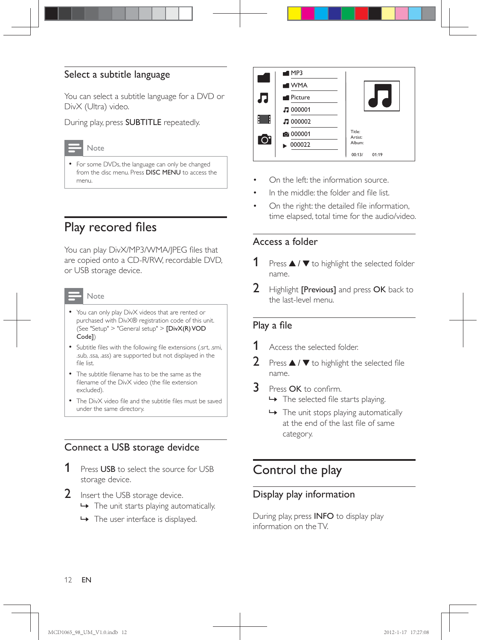#### Select a subtitle language

You can select a subtitle language for a DVD or DivX (Ultra) video.

During play, press SUBTITLE repeatedly.

#### Note

\* For some DVDs, the language can only be changed from the disc menu. Press DISC MENU to access the menu.

## Play recored files

You can play DivX/MP3/WMA/JPEG files that are copied onto a CD-R/RW, recordable DVD, or USB storage device.

### **Note**

- \* You can only play DivX videos that are rented or purchased with DivX® registration code of this unit. (See "Setup" > "General setup" >  $[DivX(R) VOD$ Code])
- Subtitle files with the following file extensions (.srt, .smi, .sub, .ssa, .ass) are supported but not displayed in the file list
- The subtitle filename has to be the same as the filename of the DivX video (the file extension excluded).
- The DivX video file and the subtitle files must be saved under the same directory.

#### Connect a USB storage devidce

- **1** Press USB to select the source for USB storage device.
- 2 Insert the USB storage device.
	- » The unit starts playing automatically.
	- → The user interface is displayed.



- On the left: the information source.
- In the middle: the folder and file list.
- On the right: the detailed file information, time elapsed, total time for the audio/video.

#### Access a folder

- Press  $\triangle$  /  $\nabla$  to highlight the selected folder name.
- 2 Highlight [Previous] and press OK back to the last-level menu.

#### Play a file

- Access the selected folder
- **2** Press  $\blacktriangle$  /  $\blacktriangledown$  to highlight the selected file name.
- 3 Press OK to confirm.  $\rightarrow$  The selected file starts playing.
	- $\rightarrow$  The unit stops playing automatically at the end of the last file of same category.

## Control the play

#### Display play information

During play, press INFO to display play information on the TV.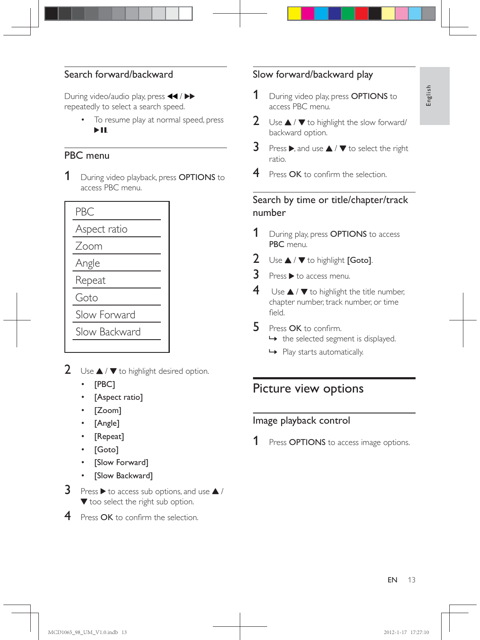## English

#### Search forward/backward

During video/audio play, press <</></> repeatedly to select a search speed.

> \* To resume play at normal speed, press  $> 11$ .

#### PBC menu

1 During video playback, press **OPTIONS** to access PBC menu.

|   | ا ۱ دد<br>--                       |
|---|------------------------------------|
|   | PBC                                |
|   | Aspect ratio                       |
|   | Zoom                               |
|   | Angle                              |
|   | Repeat                             |
|   | Goto                               |
|   | Slow Forwal                        |
|   | Slow Backw                         |
|   |                                    |
| 2 | Use $\blacktriangle$ / $\nabla$ to |
|   | [PBC]                              |
|   | [Aspect r                          |
|   |                                    |

Slow Forward

Slow Backward

- 2 Use  $\blacktriangle$  /  $\blacktriangledown$  to highlight desired option.
	- \* [PBC]
	- [Aspect ratio]
	- [Zoom]
	- $[Angle]$
	- [Repeat]
	- [Goto]
	- \* [Slow Forward]
	- [Slow Backward]
- **3** Press  $\triangleright$  to access sub options, and use  $\blacktriangle$  / **v** too select the right sub option.
- $4$  Press OK to confirm the selection.

#### Slow forward/backward play

- **1** During video play, press **OPTIONS** to access PBC menu.
- 2 Use  $\triangle$  /  $\nabla$  to highlight the slow forward/ backward option.
- **3** Press  $\triangleright$ , and use  $\blacktriangle$  /  $\nabla$  to select the right ratio.
- 4 Press OK to confirm the selection.

#### Search by time or title/chapter/track number

- **1** During play, press **OPTIONS** to access PBC menu.
- 2 Use  $\blacktriangle$  /  $\nabla$  to highlight [Goto].
- $3$  Press  $\blacktriangleright$  to access menu.
- $4$  Use  $\triangle$  /  $\blacktriangledown$  to highlight the title number, chapter number, track number, or time hleit
- 5 Press OK to confirm.  $\rightarrow$  the selected segment is displayed.
	- » Play starts automatically.

## Picture view options

#### Image playback control

Press **OPTIONS** to access image options.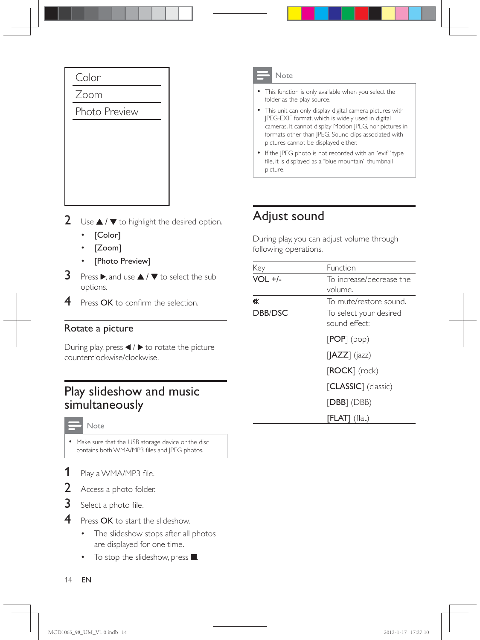

- 2 Use  $\triangle$  /  $\blacktriangledown$  to highlight the desired option.
	- \* [Color]
	- $[Zoom]$
	- [Photo Preview]
- **3** Press  $\blacktriangleright$  and use  $\blacktriangle$  /  $\blacktriangledown$  to select the sub options.
- $4$  Press OK to confirm the selection.

#### Rotate a picture

During play, press  $\blacktriangleleft$  /  $\blacktriangleright$  to rotate the picture counterclockwise/clockwise.

## Play slideshow and music simultaneously

#### Note

\* Make sure that the USB storage device or the disc contains both WMA/MP3 files and JPEG photos.

- 1 lay a WMA/MP3 file.
- $2$  Access a photo folder.
- 3 Select a photo file.
- 4 Press OK to start the slideshow.
	- The slideshow stops after all photos are displayed for one time.
	- To stop the slideshow, press  $\blacksquare$ .
- \* This function is only available when you select the folder as the play source.
- \* This unit can only display digital camera pictures with JPEG-EXIF format, which is widely used in digital cameras. It cannot display Motion JPEG, nor pictures in formats other than JPEG. Sound clips associated with pictures cannot be displayed either.
- If the JPEG photo is not recorded with an "exif" type file, it is displayed as a "blue mountain" thumbnail picture.

## Adjust sound

During play, you can adjust volume through following operations.

| Key            | Function                                      |
|----------------|-----------------------------------------------|
| $VOL +/-$      | To increase/decrease the                      |
|                | volume.                                       |
| 咪              | To mute/restore sound.                        |
| <b>DBB/DSC</b> | To select your desired                        |
|                | sound effect:                                 |
|                | [POP] (pop)                                   |
|                | $\left[\left \text{AZZ}\right \right]$ (jazz) |
|                | $[ROCK]$ (rock)                               |
|                | [CLASSIC] (classic)                           |
|                | $[DBB]$ (DBB)                                 |
|                | $[FLAT]$ (flat)                               |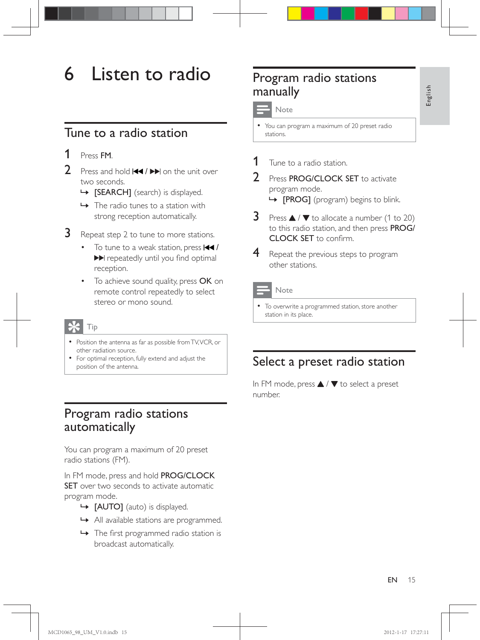## 6 Listen to radio

## Tune to a radio station

- 1 Press FM.
- **2** Press and hold  $\blacktriangleleft$  /  $\blacktriangleright$  on the unit over two seconds.
	- » [SEARCH] (search) is displayed.
	- $\rightarrow$  The radio tunes to a station with strong reception automatically.
- **3** Repeat step 2 to tune to more stations.
	- To tune to a weak station, press  $\blacktriangleright\blacktriangleleft$  / repeatedly until you find optimal reception.
	- To achieve sound quality, press OK on remote control repeatedly to select stereo or mono sound.
	- Tip
	- \* Position the antenna as far as possible from TV, VCR, or other radiation source.
	- \* For optimal reception, fully extend and adjust the position of the antenna.

## Program radio stations automatically

You can program a maximum of 20 preset radio stations (FM).

In FM mode, press and hold PROG/CLOCK **SET** over two seconds to activate automatic program mode.

- » [AUTO] (auto) is displayed.
- » All available stations are programmed.
- $\rightarrow$  The first programmed radio station is broadcast automatically.

## Program radio stations manually

Note

- \* You can program a maximum of 20 preset radio stations.
- Tune to a radio station.
- Press PROG/CLOCK SET to activate program mode.

 $\rightarrow$  [PROG] (program) begins to blink.

- **3** Press  $\triangle$  /  $\nabla$  to allocate a number (1 to 20) to this radio station, and then press PROG/ **CLOCK SET** to confirm.
- 4 Repeat the previous steps to program other stations.



#### Note

\* To overwrite a programmed station, store another station in its place.

## Select a preset radio station

In FM mode, press  $\blacktriangle$  /  $\blacktriangledown$  to select a preset number.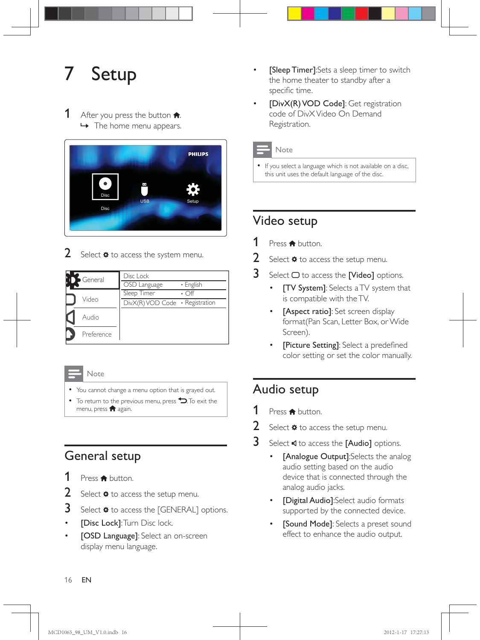## **Setup**

#### **1** After you press the button  $\uparrow$ .  $\rightarrow$  The home menu appears.



2 Select  $*$  to access the system menu.

| General    | Disc Lock                               |           |
|------------|-----------------------------------------|-----------|
|            | OSD Language                            | • English |
|            | Sleep Timer                             |           |
| Video      | $DivX(R)$ VOD Code $\cdot$ Registration |           |
| Audio      |                                         |           |
| Preference |                                         |           |

Note

- \* You cannot change a menu option that is grayed out.
- $\bullet$  To return to the previous menu, press  $\bullet$ . To exit the menu, press  $\bigcap$  again.

## General setup

- **1** Press  $\bigoplus$  button.
- 2 Select  $\ast$  to access the setup menu.
- 3 Select  $*$  to access the [GENERAL] options.
- [Disc Lock]: Turn Disc lock.
- [OSD Language]: Select an on-screen display menu language.
- [Sleep Timer]:Sets a sleep timer to switch the home theater to standby after a specific time.
- [DivX(R) VOD Code]: Get registration code of DivX Video On Demand Registration.

#### **Note**

\* If you select a language which is not available on a disc, this unit uses the default language of the disc.

## Video setup

- **1** Press  $\bigoplus$  button.
- 2 Select  $\ast$  to access the setup menu.
- **3** Select  $\Box$  to access the [Video] options.
	- [TV System]: Selects a TV system that is compatible with the TV.
	- [Aspect ratio]: Set screen display format(Pan Scan, Letter Box, or Wide Screen).
	- [Picture Setting]: Select a predefined color setting or set the color manually.

## Audio setup

- **1** Press  $\bigoplus$  button.
- 2 Select  $\ast$  to access the setup menu.
- 3 Select  $\triangleleft$  to access the [Audio] options.
	- [Analogue Output]:Selects the analog audio setting based on the audio device that is connected through the analog audio jacks.
	- \* [Digital Audio]:Select audio formats supported by the connected device.
	- [Sound Mode]: Selects a preset sound effect to enhance the audio output.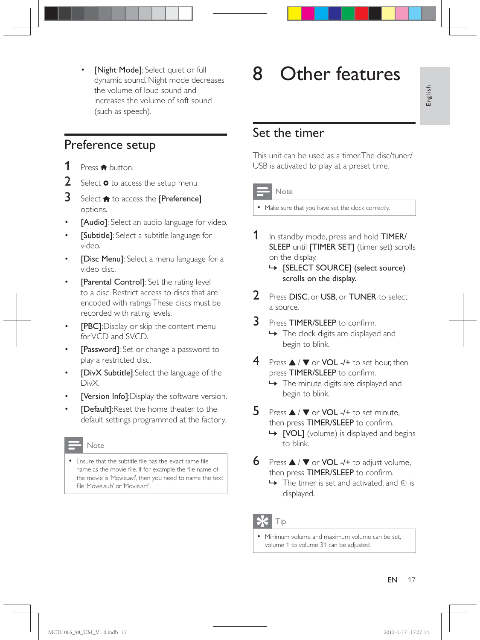• [Night Mode]: Select quiet or full dynamic sound. Night mode decreases the volume of loud sound and increases the volume of soft sound (such as speech).

### Preference setup

- **1** Press  $\bigoplus$  button.
- 2 Select  $\ast$  to access the setup menu.
- $3$  Select  $\bigtriangleup$  to access the [Preference] options.
- [Audio]: Select an audio language for video.
- [Subtitle]: Select a subtitle language for video.
- [Disc Menu]: Select a menu language for a video disc.
- [Parental Control]: Set the rating level to a disc. Restrict access to discs that are encoded with ratings These discs must be recorded with rating levels.
- **[PBC]**:Display or skip the content menu for VCD and SVCD.
- [Password]: Set or change a password to play a restricted disc.
- [DivX Subtitle]:Select the language of the DivX.
- [Version Info]:Display the software version.
- **[Default]:**Reset the home theater to the default settings programmed at the factory.

#### Note

• Ensure that the subtitle file has the exact same file name as the movie file. If for example the file name of the movie is 'Movie.avi', then you need to name the text file 'Movie.sub' or 'Movie.srt'.

## 8 Other features

### Set the timer

This unit can be used as a timer. The disc/tuner/ USB is activated to play at a preset time.



#### Note

\* Make sure that you have set the clock correctly.

- 1 In standby mode, press and hold TIMER/ SLEEP until [TIMER SET] (timer set) scrolls on the display.
	- $\rightarrow$  [SELECT SOURCE] (select source) scrolls on the display.
- 2 Press DISC, or USB, or TUNER to select a source.
- 3 Press TIMER/SLEEP to confirm » The clock digits are displayed and begin to blink.
- **4** Press  $\triangle$  /  $\nabla$  or VOL -/+ to set hour, then press TIMER/SLEEP to confirm.
	- $\rightarrow$  The minute digits are displayed and begin to blink.
- **5** Press  $\triangle$  /  $\nabla$  or VOL -/+ to set minute, then press TIMER/SLEEP to confirm.
	- → [VOL] (volume) is displayed and begins to blink.
- 6 Press  $\triangle$  /  $\nabla$  or VOL -/+ to adjust volume, then press TIMER/SLEEP to confirm.
	- $\rightarrow$  The timer is set and activated, and  $\odot$  is displayed.



\* Minimum volume and maximum volume can be set, volume 1 to volume 31 can be adjusted.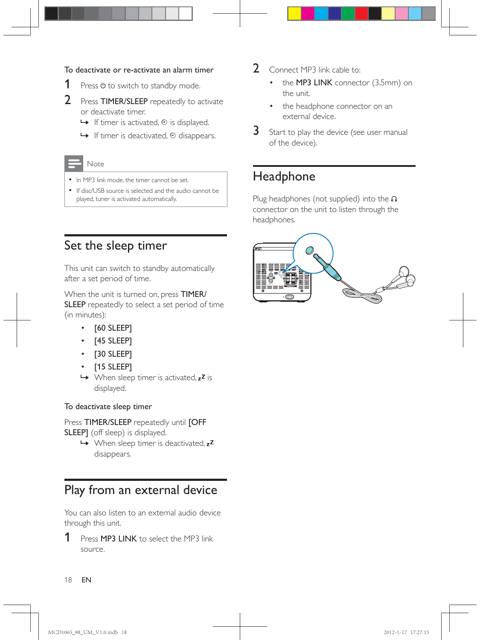#### To deactivate or re-activate an alarm timer

- **1** Press  $\phi$  to switch to standby mode.
- 2 Press TIMER/SLEEP repeatedly to activate or deactivate timer.
	- $\rightarrow$  If timer is activated,  $\oplus$  is displayed.
	- $\rightarrow$  If timer is deactivated,  $\odot$  disappears.

#### Note

- In MP3 link mode, the timer cannot be set.
- \* If disc/USB source is selected and the audio cannot be played, tuner is activated automatically.

## Set the sleep timer

This unit can switch to standby automatically after a set period of time.

When the unit is turned on, press TIMER/ SLEEP repeatedly to select a set period of time (in minutes):

- \* [60 SLEEP]
- [45 SLEEP]
- \* [30 SLEEP]
- [15 SLEEP]
- $\rightarrow$  When sleep timer is activated,  $z^2$  is displayed.

#### To deactivate sleep timer

#### Press TIMER/SLEEP repeatedly until [OFF SLEEP] (off sleep) is displayed.

 $\rightarrow$  When sleep timer is deactivated,  $z^2$ disappears.

## Play from an external device

You can also listen to an external audio device through this unit.

**1** Press **MP3 LINK** to select the MP3 link source.

- 2 Connect MP3 link cable to:
	- the MP3 LINK connector (3.5mm) on the unit.
	- the headphone connector on an external device.
- 3 Start to play the device (see user manual of the device).

## Headphone

Plug headphones (not supplied) into the n connector on the unit to listen through the headphones.

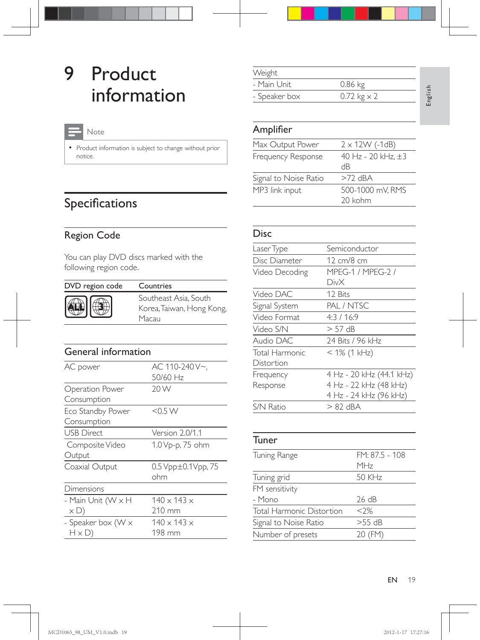## 9 Product information

#### Note

\* Product information is subject to change without prior notice.

## Specifications

#### Region Code

You can play DVD discs marked with the following region code.

| DVD region code | Countries                                                   |
|-----------------|-------------------------------------------------------------|
|                 | Southeast Asia, South<br>Korea, Taiwan, Hong Kong,<br>Масан |

### General information

| AC power           | AC 110-240 V~,                                 |
|--------------------|------------------------------------------------|
|                    | 50/60 Hz                                       |
| Operation Power    | 20 W                                           |
| Consumption        |                                                |
| Eco Standby Power  | $<$ 0.5 W                                      |
| Consumption        |                                                |
| <b>USB Direct</b>  | Version 2.0/1.1                                |
| Composite Video    | 1.0 Vp-p, 75 ohm                               |
| Output             |                                                |
| Coaxial Output     | $0.5 \, \text{Vpp} \pm 0.1 \, \text{Vpp}$ , 75 |
|                    | ohm                                            |
| Dimensions         |                                                |
| - Main Unit (W x H | $140 \times 143 \times$                        |
| $\times D)$        | 210 mm                                         |
| - Speaker box (W x | $140 \times 143 \times$                        |
| $H \times D$       | 198 mm                                         |

| Weight        |                            |
|---------------|----------------------------|
| - Main Unit   | $0.86$ kg                  |
| - Speaker box | $0.72 \text{ kg} \times 2$ |

#### Amplifier

| Max Output Power      | $2 \times 12W$ (-1dB)    |
|-----------------------|--------------------------|
| Frequency Response    | 40 Hz - 20 kHz, ±3<br>dВ |
| Signal to Noise Ratio | $>72$ dRA                |
| MP3 link input        | 500-1000 mV. RMS         |
|                       | 20 kohm                  |

#### Disc

| Laser Type       | Semiconductor            |
|------------------|--------------------------|
| Disc Diameter    | 12 cm/8 cm               |
| Video Decoding   | MPFG-1 / MPFG-2 /        |
|                  | DivX                     |
| Video DAC        | 12 Bits                  |
| Signal System    | PAL / NTSC               |
| Video Format     | 4:3/16:9                 |
| Video S/N        | $> 57$ dB                |
| Audio DAC        | 24 Bits / 96 kHz         |
| Total Harmonic   | $<$ 1% (1 kHz)           |
| Distortion       |                          |
| Frequency        | 4 Hz - 20 kHz (44.1 kHz) |
| Response         | 4 Hz - 22 kHz (48 kHz)   |
|                  | 4 Hz - 24 kHz (96 kHz)   |
| <b>S/N Ratio</b> | > 82 dBA                 |

#### Tuner

| Tuning Range                     | FM: 87.5 - 108  |
|----------------------------------|-----------------|
|                                  | MH <sub>7</sub> |
| Tuning grid                      | 50 KHz          |
| FM sensitivity                   |                 |
| - Mono                           | 26 dB           |
| <b>Total Harmonic Distortion</b> | $<$ ?%          |
| Signal to Noise Ratio            | $>55$ dB        |
| Number of presets                | 20 (FM)         |
|                                  |                 |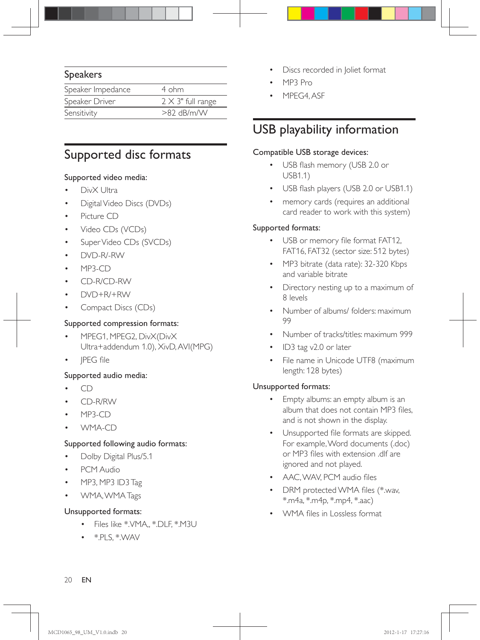#### Speakers

| Speaker Impedance | 4 ohm                     |
|-------------------|---------------------------|
| Speaker Driver    | $2 \times 3$ " full range |
| Sensitivity       | $>82$ dB/m/W              |

## Supported disc formats

#### Supported video media:

- DivX Ultra
- Digital Video Discs (DVDs)
- \* Picture CD
- Video CDs (VCDs)
- \* Super Video CDs (SVCDs)
- DVD-R/-RW
- $MP3-CD$
- \* CD-R/CD-RW
- DVD+R/+RW
- \* Compact Discs (CDs)

#### Supported compression formats:

- MPEG1, MPEG2, DivX(DivX Ultra+addendum 1.0), XivD, AVI(MPG)
- JPEG file

#### Supported audio media:

- \* CD
- \* CD-R/RW
- $MP3-CD$
- WMA-CD

#### Supported following audio formats:

- Dolby Digital Plus/5.1
- PCM Audio
- MP3, MP3 ID3 Tag
- WMA, WMA Tags

#### Unsupported formats:

- \* Files like \*.VMA,, \*.DLF, \*.M3U
- $\bullet$   $*$ .PLS,  $*$ .WAV
- Discs recorded in Joliet format
- MP3 Pro
- MPEG4, ASF

## USB playability information

#### Compatible USB storage devices:

- USB flash memory (USB 2.0 or USB1.1)
- USB flash players (USB 2.0 or USB1.1)
- memory cards (requires an additional card reader to work with this system)

#### Supported formats:

- USB or memory file format FAT12, FAT16, FAT32 (sector size: 512 bytes)
- MP3 bitrate (data rate): 32-320 Kbps and variable bitrate
- Directory nesting up to a maximum of 8 levels
- Number of albums/ folders: maximum 99
- Number of tracks/titles: maximum 999
- $ID3$  tag v2.0 or later
- File name in Unicode UTF8 (maximum length: 128 bytes)

#### Unsupported formats:

- Empty albums: an empty album is an album that does not contain MP3 files, and is not shown in the display.
- Unsupported file formats are skipped. For example, Word documents (.doc) or MP3 files with extension .dlf are ignored and not played.
- AAC, WAV, PCM audio files
- DRM protected WMA files (\*.wav, \*.m4a, \*.m4p, \*.mp4, \*.aac)
- WMA files in Lossless format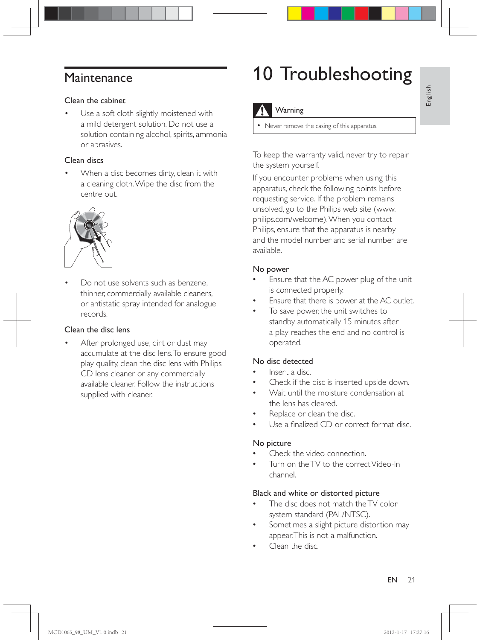## Maintenance

#### Clean the cabinet

Use a soft cloth slightly moistened with a mild detergent solution. Do not use a solution containing alcohol, spirits, ammonia or abrasives.

#### Clean discs

When a disc becomes dirty, clean it with a cleaning cloth. Wipe the disc from the centre out.



Do not use solvents such as benzene. thinner, commercially available cleaners, or antistatic spray intended for analogue records.

#### Clean the disc lens

After prolonged use, dirt or dust may accumulate at the disc lens. To ensure good play quality, clean the disc lens with Philips CD lens cleaner or any commercially available cleaner. Follow the instructions supplied with cleaner.

## 10 Troubleshooting

### Warning

\* Never remove the casing of this apparatus.

To keep the warranty valid, never try to repair the system yourself.

If you encounter problems when using this apparatus, check the following points before requesting service. If the problem remains unsolved, go to the Philips web site (www. philips.com/welcome). When you contact Philips, ensure that the apparatus is nearby and the model number and serial number are available.

#### No power

- Ensure that the AC power plug of the unit is connected properly.
- Ensure that there is power at the AC outlet
- To save power, the unit switches to standby automatically 15 minutes after a play reaches the end and no control is operated.

#### No disc detected

- @ Insert a disc.
- Check if the disc is inserted upside down.
- Wait until the moisture condensation at the lens has cleared.
- Replace or clean the disc.
- Use a finalized CD or correct format disc.

#### No picture

- Check the video connection.
- Turn on the TV to the correct Video-In channel.

#### Black and white or distorted picture

- The disc does not match the TV color system standard (PAL/NTSC).
- Sometimes a slight picture distortion may appear. This is not a malfunction.
- Clean the disc.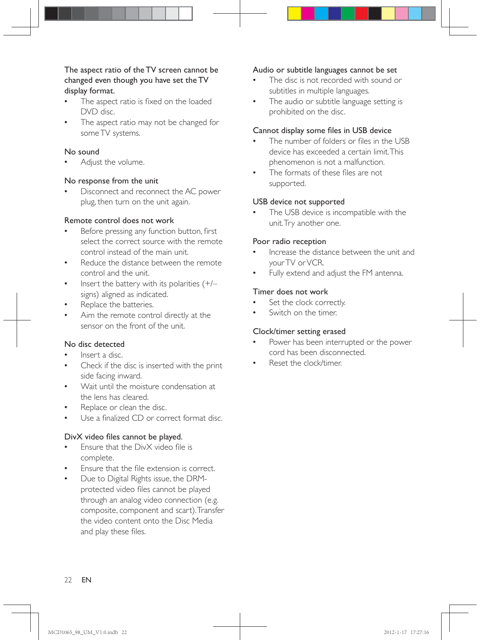#### The aspect ratio of the TV screen cannot be changed even though you have set the TV display format.

- The aspect ratio is fixed on the loaded DVD disc.
- The aspect ratio may not be changed for some TV systems.

#### No sound

Adjust the volume.

#### No response from the unit

Disconnect and reconnect the AC power plug, then turn on the unit again.

#### Remote control does not work

- Before pressing any function button, first select the correct source with the remote control instead of the main unit.
- Reduce the distance between the remote control and the unit.
- Insert the battery with its polarities  $(+/-)$ signs) aligned as indicated.
- Replace the batteries.
- Aim the remote control directly at the sensor on the front of the unit.

#### No disc detected

- Insert a disc.
- Check if the disc is inserted with the print side facing inward.
- Wait until the moisture condensation at the lens has cleared.
- Replace or clean the disc.
- Use a finalized CD or correct format disc.

#### DivX video files cannot be played.

- Ensure that the DivX video file is complete.
- Ensure that the file extension is correct.
- Due to Digital Rights issue, the DRMprotected video files cannot be played through an analog video connection (e.g. composite, component and scart). Transfer the video content onto the Disc Media and play these files.

#### Audio or subtitle languages cannot be set

- The disc is not recorded with sound or subtitles in multiple languages.
- The audio or subtitle language setting is prohibited on the disc.

#### Cannot display some files in USB device

- The number of folders or files in the USB device has exceeded a certain limit. This phenomenon is not a malfunction.
- The formats of these files are not supported.

#### USB device not supported

• The USB device is incompatible with the unit. Try another one.

#### Poor radio reception

- Increase the distance between the unit and your TV or VCR.
- Fully extend and adjust the FM antenna.

#### Timer does not work

- Set the clock correctly.
- Switch on the timer.

#### Clock/timer setting erased

- Power has been interrupted or the power cord has been disconnected.
- Reset the clock/timer.